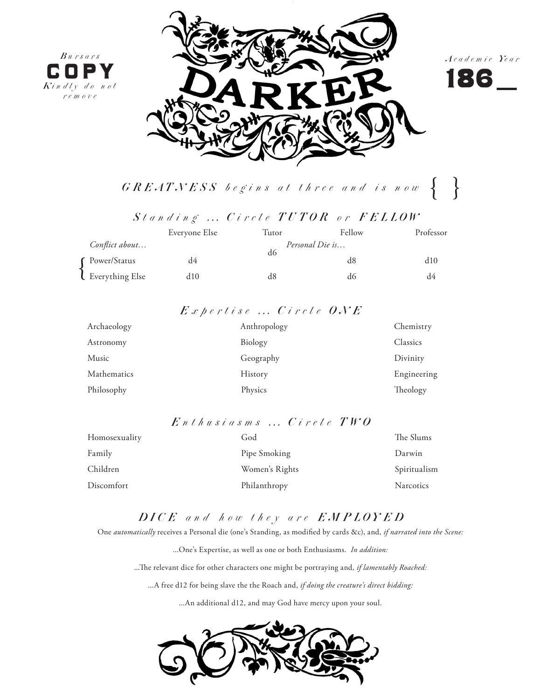





 $\{GREATNESS\; begins\; at\; three\; and\; is\; now\; \{\quad \}$ 

 $St$ anding ... Circle TUTOR or FELLOW

|                       | Everyone Else | Tutor           | Fellow | Professor |
|-----------------------|---------------|-----------------|--------|-----------|
| Conflict about        |               | Personal Die is |        |           |
| <b>C</b> Power/Status | d4            | d6              | d8     | d10       |
| Everything Else       | d10           | d8              | d6     | d4        |

## *E x p e r t i s e . . . C i r c l e O N E*

| Archaeology | Anthropology | Chemistry   |
|-------------|--------------|-------------|
| Astronomy   | Biology      | Classics    |
| Music       | Geography    | Divinity    |
| Mathematics | History      | Engineering |
| Philosophy  | Physics      | Theology    |

## *E n t h u s i a s m s . . . C i r c l e T W O*

| Homosexuality | God            | The Slums        |
|---------------|----------------|------------------|
| Family        | Pipe Smoking   | Darwin           |
| Children      | Women's Rights | Spiritualism     |
| Discomfort    | Philanthropy   | <b>Narcotics</b> |

# *D I C E a n d h o w t h e y a r e E M P L O Y E D*

One *automatically* receives a Personal die (one's Standing, as modified by cards &c), and, *if narrated into the Scene:*

...One's Expertise, as well as one or both Enthusiasms. *In addition:*

...The relevant dice for other characters one might be portraying and, *if lamentably Roached:*

...A free d12 for being slave the the Roach and, *if doing the creature's direct bidding:*

...An additional d12, and may God have mercy upon your soul.